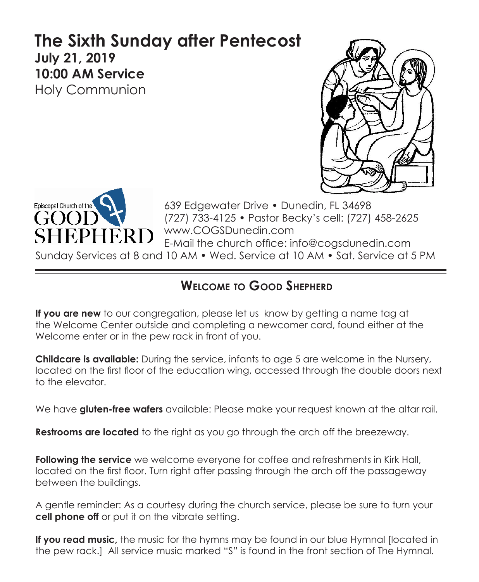# **The Sixth Sunday after Pentecost July 21, 2019 10:00 AM Service**  Holy Communion





639 Edgewater Drive • Dunedin, FL 34698 (727) 733-4125 • Pastor Becky's cell: (727) 458-2625 www.COGSDunedin.com E-Mail the church office: info@cogsdunedin.com

Sunday Services at 8 and 10 AM • Wed. Service at 10 AM • Sat. Service at 5 PM

## **Welcome to Good Shepherd**

**If you are new** to our congregation, please let us know by getting a name tag at the Welcome Center outside and completing a newcomer card, found either at the Welcome enter or in the pew rack in front of you.

**Childcare is available:** During the service, infants to age 5 are welcome in the Nursery, located on the first floor of the education wing, accessed through the double doors next to the elevator.

We have **gluten-free wafers** available: Please make your request known at the altar rail.

**Restrooms are located** to the right as you go through the arch off the breezeway.

**Following the service** we welcome everyone for coffee and refreshments in Kirk Hall, located on the first floor. Turn right after passing through the arch off the passageway between the buildings.

A gentle reminder: As a courtesy during the church service, please be sure to turn your **cell phone off** or put it on the vibrate setting.

If you read music, the music for the hymns may be found in our blue Hymnal [located in the pew rack.] All service music marked "S" is found in the front section of The Hymnal.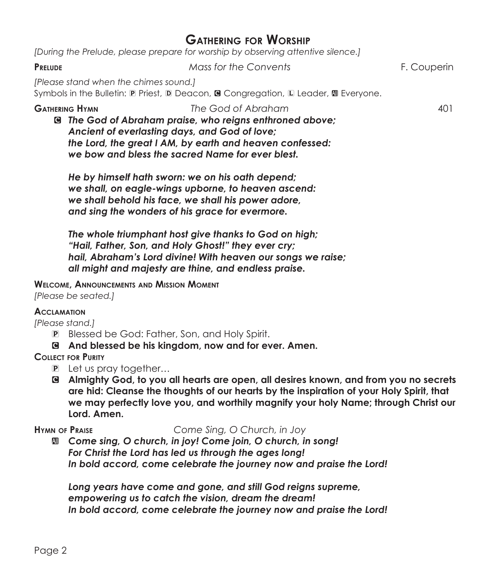## **Gathering for Worship**

*[During the Prelude, please prepare for worship by observing attentive silence.]*

| <b>PRELUDE</b>                        | Mass for the Convents                                                                                                                | F. Couperin |
|---------------------------------------|--------------------------------------------------------------------------------------------------------------------------------------|-------------|
| [Please stand when the chimes sound.] |                                                                                                                                      |             |
|                                       | Symbols in the Bulletin: $\mathbb D$ Priest, $\mathbb D$ Deacon, $\mathbb Q$ Congregation, $\mathbb L$ Leader, $\mathbb D$ Everyone. |             |
| <b>GATHERING HYMN</b>                 | The God of Abraham                                                                                                                   | 401         |

C *The God of Abraham praise, who reigns enthroned above; Ancient of everlasting days, and God of love; the Lord, the great I AM, by earth and heaven confessed: we bow and bless the sacred Name for ever blest.*

*He by himself hath sworn: we on his oath depend; we shall, on eagle-wings upborne, to heaven ascend: we shall behold his face, we shall his power adore, and sing the wonders of his grace for evermore.*

*The whole triumphant host give thanks to God on high; "Hail, Father, Son, and Holy Ghost!" they ever cry; hail, Abraham's Lord divine! With heaven our songs we raise; all might and majesty are thine, and endless praise.*

# **Welcome, Announcements and Mission Moment**

*[Please be seated.]*

## **Acclamation**

*[Please stand.]*

- P Blessed be God: Father, Son, and Holy Spirit.
- C **And blessed be his kingdom, now and for ever. Amen.**

## **Collect for Purity**

- P Let us pray together…
- C **Almighty God, to you all hearts are open, all desires known, and from you no secrets are hid: Cleanse the thoughts of our hearts by the inspiration of your Holy Spirit, that we may perfectly love you, and worthily magnify your holy Name; through Christ our Lord. Amen.**

**Hymn of Praise** *Come Sing, O Church, in Joy*

a *Come sing, O church, in joy! Come join, O church, in song! For Christ the Lord has led us through the ages long! In bold accord, come celebrate the journey now and praise the Lord!*

*Long years have come and gone, and still God reigns supreme, empowering us to catch the vision, dream the dream! In bold accord, come celebrate the journey now and praise the Lord!*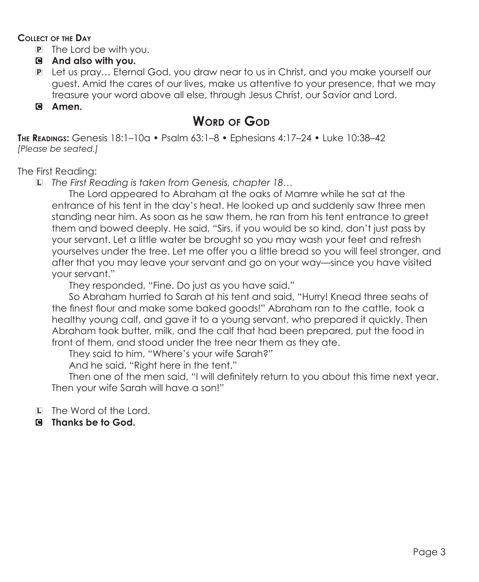## **Collect of the Day**

- P The Lord be with you.
- C **And also with you.**
- P Let us pray… Eternal God, you draw near to us in Christ, and you make yourself our guest. Amid the cares of our lives, make us attentive to your presence, that we may treasure your word above all else, through Jesus Christ, our Savior and Lord.

## C **Amen.**

# **WORD OF GOD**

**The Readings:** Genesis 18:1–10a • Psalm 63:1–8 • Ephesians 4:17–24 • Luke 10:38–42 *[Please be seated.]*

The First Reading:

L *The First Reading is taken from Genesis, chapter 18…*

 The Lord appeared to Abraham at the oaks of Mamre while he sat at the entrance of his tent in the day's heat. He looked up and suddenly saw three men standing near him. As soon as he saw them, he ran from his tent entrance to greet them and bowed deeply. He said, "Sirs, if you would be so kind, don't just pass by your servant. Let a little water be brought so you may wash your feet and refresh yourselves under the tree. Let me offer you a little bread so you will feel stronger, and after that you may leave your servant and go on your way—since you have visited your servant."

They responded, "Fine. Do just as you have said."

 So Abraham hurried to Sarah at his tent and said, "Hurry! Knead three seahs of the finest flour and make some baked goods!" Abraham ran to the cattle, took a healthy young calf, and gave it to a young servant, who prepared it quickly. Then Abraham took butter, milk, and the calf that had been prepared, put the food in front of them, and stood under the tree near them as they ate.

They said to him, "Where's your wife Sarah?"

And he said, "Right here in the tent."

Then one of the men said, "I will definitely return to you about this time next year. Then your wife Sarah will have a son!"

- L The Word of the Lord.
- C **Thanks be to God.**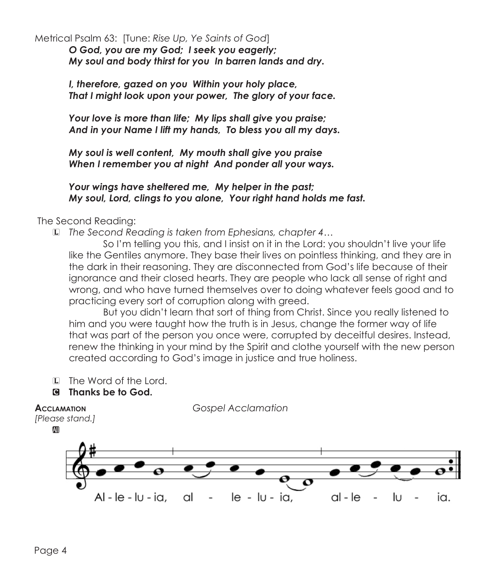Metrical Psalm 63: [Tune: *Rise Up, Ye Saints of God*]

*O God, you are my God; I seek you eagerly; My soul and body thirst for you In barren lands and dry.*

*I, therefore, gazed on you Within your holy place, That I might look upon your power, The glory of your face.*

*Your love is more than life; My lips shall give you praise; And in your Name I lift my hands, To bless you all my days.*

*My soul is well content, My mouth shall give you praise When I remember you at night And ponder all your ways.*

## *Your wings have sheltered me, My helper in the past; My soul, Lord, clings to you alone, Your right hand holds me fast.*

The Second Reading:

L *The Second Reading is taken from Ephesians, chapter 4…*

So I'm telling you this, and I insist on it in the Lord: you shouldn't live your life like the Gentiles anymore. They base their lives on pointless thinking, and they are in the dark in their reasoning. They are disconnected from God's life because of their ignorance and their closed hearts. They are people who lack all sense of right and wrong, and who have turned themselves over to doing whatever feels good and to practicing every sort of corruption along with greed.

 But you didn't learn that sort of thing from Christ. Since you really listened to him and you were taught how the truth is in Jesus, change the former way of life that was part of the person you once were, corrupted by deceitful desires. Instead, renew the thinking in your mind by the Spirit and clothe yourself with the new person created according to God's image in justice and true holiness.

- L The Word of the Lord.
- C **Thanks be to God.**

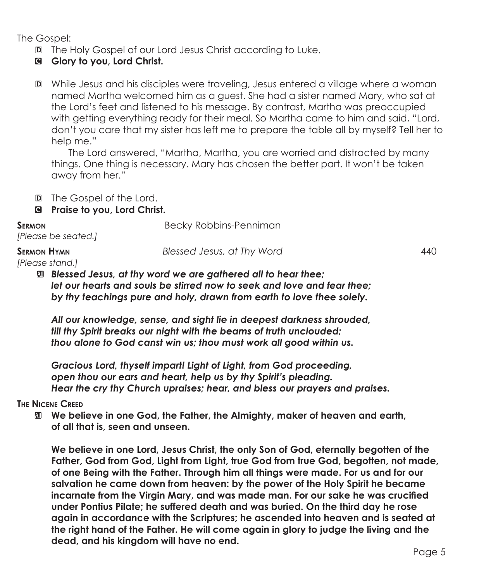The Gospel:

- D The Holy Gospel of our Lord Jesus Christ according to Luke.
- C **Glory to you, Lord Christ.**
- D While Jesus and his disciples were traveling, Jesus entered a village where a woman named Martha welcomed him as a guest. She had a sister named Mary, who sat at the Lord's feet and listened to his message. By contrast, Martha was preoccupied with getting everything ready for their meal. So Martha came to him and said, "Lord, don't you care that my sister has left me to prepare the table all by myself? Tell her to help me."

The Lord answered, "Martha, Martha, you are worried and distracted by many things. One thing is necessary. Mary has chosen the better part. It won't be taken away from her."

- D The Gospel of the Lord.
- C **Praise to you, Lord Christ.**

**SERMON** Becky Robbins-Penniman

*[Please be seated.]*

**Sermon Hymn** *Blessed Jesus, at Thy Word* 440

*[Please stand.]*

 $\Box$  Blessed Jesus, at thy word we are gathered all to hear thee; *let our hearts and souls be stirred now to seek and love and fear thee; by thy teachings pure and holy, drawn from earth to love thee solely.*

*All our knowledge, sense, and sight lie in deepest darkness shrouded, till thy Spirit breaks our night with the beams of truth unclouded; thou alone to God canst win us; thou must work all good within us.*

*Gracious Lord, thyself impart! Light of Light, from God proceeding, open thou our ears and heart, help us by thy Spirit's pleading. Hear the cry thy Church upraises; hear, and bless our prayers and praises.*

**The Nicene Creed**

a **We believe in one God, the Father, the Almighty, maker of heaven and earth, of all that is, seen and unseen.**

 **We believe in one Lord, Jesus Christ, the only Son of God, eternally begotten of the Father, God from God, Light from Light, true God from true God, begotten, not made, of one Being with the Father. Through him all things were made. For us and for our salvation he came down from heaven: by the power of the Holy Spirit he became incarnate from the Virgin Mary, and was made man. For our sake he was crucified under Pontius Pilate; he suffered death and was buried. On the third day he rose again in accordance with the Scriptures; he ascended into heaven and is seated at the right hand of the Father. He will come again in glory to judge the living and the dead, and his kingdom will have no end.**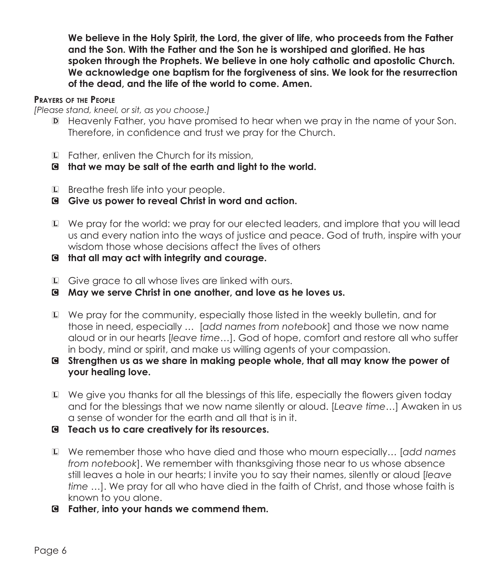**We believe in the Holy Spirit, the Lord, the giver of life, who proceeds from the Father and the Son. With the Father and the Son he is worshiped and glorified. He has spoken through the Prophets. We believe in one holy catholic and apostolic Church. We acknowledge one baptism for the forgiveness of sins. We look for the resurrection of the dead, and the life of the world to come. Amen.**

### **Prayers of the People**

*[Please stand, kneel, or sit, as you choose.]*

- D Heavenly Father, you have promised to hear when we pray in the name of your Son. Therefore, in confidence and trust we pray for the Church.
- L Father, enliven the Church for its mission,
- C **that we may be salt of the earth and light to the world.**
- L Breathe fresh life into your people.
- C **Give us power to reveal Christ in word and action.**
- L We pray for the world: we pray for our elected leaders, and implore that you will lead us and every nation into the ways of justice and peace. God of truth, inspire with your wisdom those whose decisions affect the lives of others
- C **that all may act with integrity and courage.**
- L Give grace to all whose lives are linked with ours.
- C **May we serve Christ in one another, and love as he loves us.**
- L We pray for the community, especially those listed in the weekly bulletin, and for those in need, especially … [*add names from notebook*] and those we now name aloud or in our hearts [*leave time…*]. God of hope, comfort and restore all who suffer in body, mind or spirit, and make us willing agents of your compassion.
- C **Strengthen us as we share in making people whole, that all may know the power of your healing love.**
- L We give you thanks for all the blessings of this life, especially the flowers given today and for the blessings that we now name silently or aloud. [*Leave time…*] Awaken in us a sense of wonder for the earth and all that is in it.
- C **Teach us to care creatively for its resources.**
- L We remember those who have died and those who mourn especially… [*add names from notebook*]. We remember with thanksgiving those near to us whose absence still leaves a hole in our hearts; I invite you to say their names, silently or aloud [*leave time …*]. We pray for all who have died in the faith of Christ, and those whose faith is known to you alone.
- C **Father, into your hands we commend them.**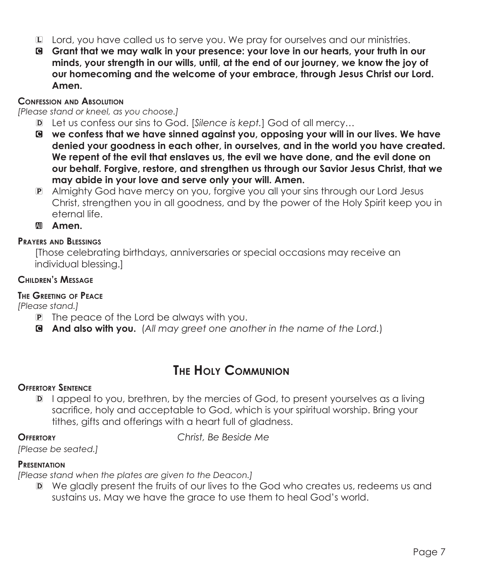- L Lord, you have called us to serve you. We pray for ourselves and our ministries.
- C **Grant that we may walk in your presence: your love in our hearts, your truth in our minds, your strength in our wills, until, at the end of our journey, we know the joy of our homecoming and the welcome of your embrace, through Jesus Christ our Lord. Amen.**

## **Confession and Absolution**

*[Please stand or kneel, as you choose.]*

- D Let us confess our sins to God. [*Silence is kept.*] God of all mercy…
- C **we confess that we have sinned against you, opposing your will in our lives. We have denied your goodness in each other, in ourselves, and in the world you have created. We repent of the evil that enslaves us, the evil we have done, and the evil done on our behalf. Forgive, restore, and strengthen us through our Savior Jesus Christ, that we may abide in your love and serve only your will. Amen.**
- P Almighty God have mercy on you, forgive you all your sins through our Lord Jesus Christ, strengthen you in all goodness, and by the power of the Holy Spirit keep you in eternal life.
- **M** Amen

## **Prayers and Blessings**

[Those celebrating birthdays, anniversaries or special occasions may receive an individual blessing.]

## **Children's Message**

## **The Greeting of Peace**

*[Please stand.]*

- P The peace of the Lord be always with you.
- C **And also with you.** (*All may greet one another in the name of the Lord.*)

## **The Holy Communion**

## **Offertory Sentence**

D I appeal to you, brethren, by the mercies of God, to present yourselves as a living sacrifice, holy and acceptable to God, which is your spiritual worship. Bring your tithes, gifts and offerings with a heart full of gladness.

**Offertory** *Christ, Be Beside Me*

*[Please be seated.]*

## **Presentation**

*[Please stand when the plates are given to the Deacon.]*

D We gladly present the fruits of our lives to the God who creates us, redeems us and sustains us. May we have the grace to use them to heal God's world.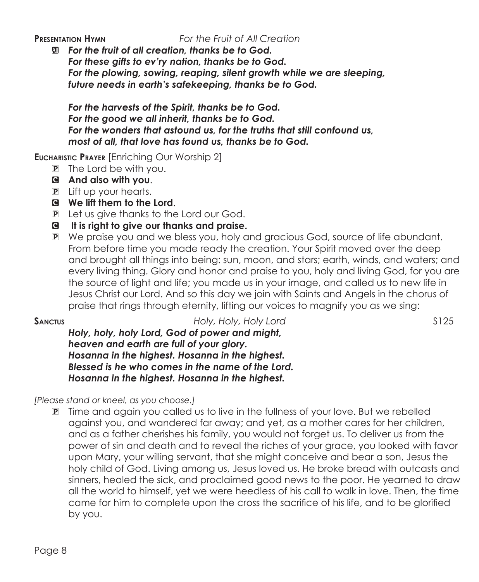a *For the fruit of all creation, thanks be to God. For these gifts to ev'ry nation, thanks be to God. For the plowing, sowing, reaping, silent growth while we are sleeping, future needs in earth's safekeeping, thanks be to God.*

*For the harvests of the Spirit, thanks be to God. For the good we all inherit, thanks be to God. For the wonders that astound us, for the truths that still confound us, most of all, that love has found us, thanks be to God.*

**Eucharistic Prayer** [Enriching Our Worship 2]

- P The Lord be with you.
- C **And also with you**.
- P Lift up your hearts.
- C **We lift them to the Lord**.
- P Let us give thanks to the Lord our God.
- C **It is right to give our thanks and praise.**
- P We praise you and we bless you, holy and gracious God, source of life abundant. From before time you made ready the creation. Your Spirit moved over the deep and brought all things into being: sun, moon, and stars; earth, winds, and waters; and every living thing. Glory and honor and praise to you, holy and living God, for you are the source of light and life; you made us in your image, and called us to new life in Jesus Christ our Lord. And so this day we join with Saints and Angels in the chorus of praise that rings through eternity, lifting our voices to magnify you as we sing:

**Sanctus** *Holy, Holy, Holy Lord* S125

## *Holy, holy, holy Lord, God of power and might, heaven and earth are full of your glory. Hosanna in the highest. Hosanna in the highest. Blessed is he who comes in the name of the Lord. Hosanna in the highest. Hosanna in the highest.*

*[Please stand or kneel, as you choose.]*

P Time and again you called us to live in the fullness of your love. But we rebelled against you, and wandered far away; and yet, as a mother cares for her children, and as a father cherishes his family, you would not forget us. To deliver us from the power of sin and death and to reveal the riches of your grace, you looked with favor upon Mary, your willing servant, that she might conceive and bear a son, Jesus the holy child of God. Living among us, Jesus loved us. He broke bread with outcasts and sinners, healed the sick, and proclaimed good news to the poor. He yearned to draw all the world to himself, yet we were heedless of his call to walk in love. Then, the time came for him to complete upon the cross the sacrifice of his life, and to be glorified by you.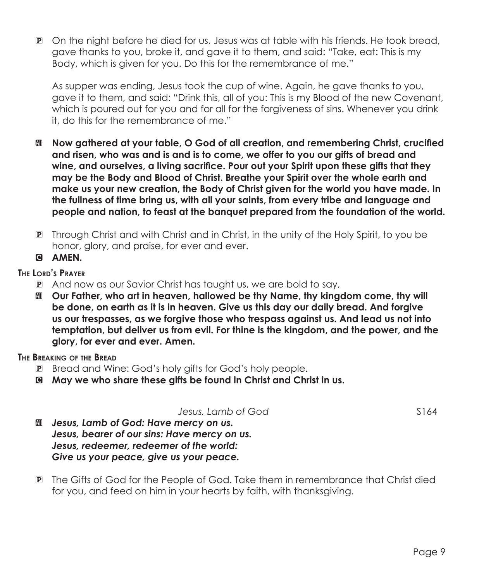P On the night before he died for us, Jesus was at table with his friends. He took bread, gave thanks to you, broke it, and gave it to them, and said: "Take, eat: This is my Body, which is given for you. Do this for the remembrance of me."

 As supper was ending, Jesus took the cup of wine. Again, he gave thanks to you, gave it to them, and said: "Drink this, all of you: This is my Blood of the new Covenant, which is poured out for you and for all for the forgiveness of sins. Whenever you drink it, do this for the remembrance of me."

- a **Now gathered at your table, O God of all creation, and remembering Christ, crucified and risen, who was and is and is to come, we offer to you our gifts of bread and wine, and ourselves, a living sacrifice. Pour out your Spirit upon these gifts that they may be the Body and Blood of Christ. Breathe your Spirit over the whole earth and make us your new creation, the Body of Christ given for the world you have made. In the fullness of time bring us, with all your saints, from every tribe and language and people and nation, to feast at the banquet prepared from the foundation of the world.**
- P Through Christ and with Christ and in Christ, in the unity of the Holy Spirit, to you be honor, glory, and praise, for ever and ever.
- C **AMEN.**

## **The Lord's Prayer**

- P And now as our Savior Christ has taught us, we are bold to say,
- a **Our Father, who art in heaven, hallowed be thy Name, thy kingdom come, thy will be done, on earth as it is in heaven. Give us this day our daily bread. And forgive us our trespasses, as we forgive those who trespass against us. And lead us not into temptation, but deliver us from evil. For thine is the kingdom, and the power, and the glory, for ever and ever. Amen.**

## **The Breaking of the Bread**

- P Bread and Wine: God's holy gifts for God's holy people.
- C **May we who share these gifts be found in Christ and Christ in us.**

*Jesus, Lamb of God* S164

- a *Jesus, Lamb of God: Have mercy on us. Jesus, bearer of our sins: Have mercy on us. Jesus, redeemer, redeemer of the world: Give us your peace, give us your peace.*
- P The Gifts of God for the People of God. Take them in remembrance that Christ died for you, and feed on him in your hearts by faith, with thanksgiving.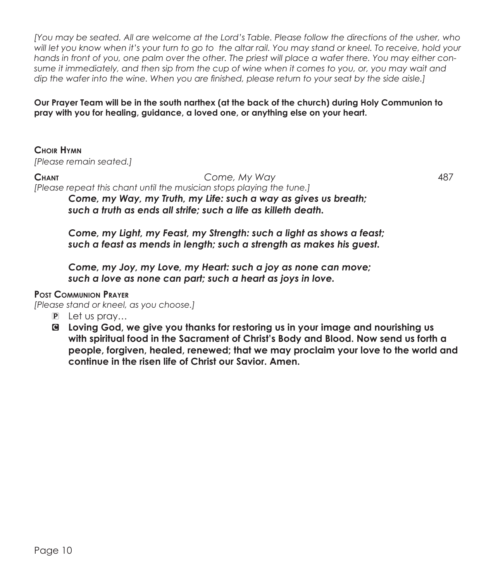*[You may be seated. All are welcome at the Lord's Table. Please follow the directions of the usher, who*  will let you know when it's your turn to go to the altar rail. You may stand or kneel. To receive, hold your *hands in front of you, one palm over the other. The priest will place a wafer there. You may either consume it immediately, and then sip from the cup of wine when it comes to you, or, you may wait and dip the wafer into the wine. When you are finished, please return to your seat by the side aisle.]*

### **Our Prayer Team will be in the south narthex (at the back of the church) during Holy Communion to pray with you for healing, guidance, a loved one, or anything else on your heart.**

**Choir Hymn** *[Please remain seated.]*

**Chant** *Come, My Way* 487

*[Please repeat this chant until the musician stops playing the tune.]*

*Come, my Way, my Truth, my Life: such a way as gives us breath; such a truth as ends all strife; such a life as killeth death.*

*Come, my Light, my Feast, my Strength: such a light as shows a feast; such a feast as mends in length; such a strength as makes his guest.*

*Come, my Joy, my Love, my Heart: such a joy as none can move; such a love as none can part; such a heart as joys in love.*

### **Post Communion Prayer**

*[Please stand or kneel, as you choose.]*

- P Let us pray…
- C **Loving God, we give you thanks for restoring us in your image and nourishing us with spiritual food in the Sacrament of Christ's Body and Blood. Now send us forth a people, forgiven, healed, renewed; that we may proclaim your love to the world and continue in the risen life of Christ our Savior. Amen.**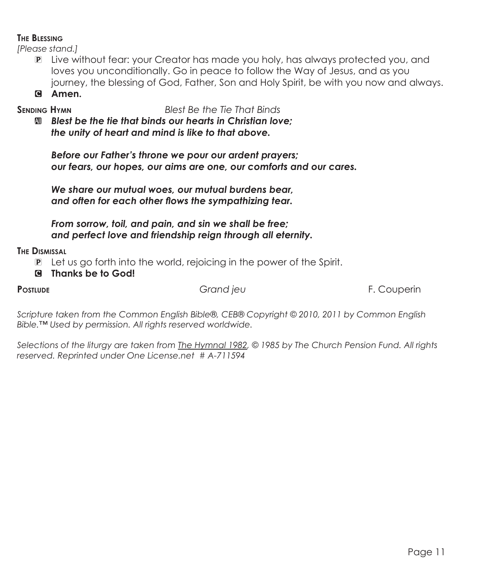## **The Blessing**

*[Please stand.]*

P Live without fear: your Creator has made you holy, has always protected you, and loves you unconditionally. Go in peace to follow the Way of Jesus, and as you journey, the blessing of God, Father, Son and Holy Spirit, be with you now and always.

C **Amen.**

**Sending Hymn** *Blest Be the Tie That Binds*

a *Blest be the tie that binds our hearts in Christian love; the unity of heart and mind is like to that above.*

*Before our Father's throne we pour our ardent prayers; our fears, our hopes, our aims are one, our comforts and our cares.*

*We share our mutual woes, our mutual burdens bear, and often for each other flows the sympathizing tear.*

*From sorrow, toil, and pain, and sin we shall be free; and perfect love and friendship reign through all eternity.*

## **The Dismissal**

P Let us go forth into the world, rejoicing in the power of the Spirit.

C **Thanks be to God!** 

**PostLube Grand jeu Grand jeure** *Grand jeu* **F. Couperin** 

*Scripture taken from the Common English Bible®, CEB® Copyright © 2010, 2011 by Common English Bible.™ Used by permission. All rights reserved worldwide.*

*Selections of the liturgy are taken from The Hymnal 1982, © 1985 by The Church Pension Fund. All rights reserved. Reprinted under One License.net # A-711594*